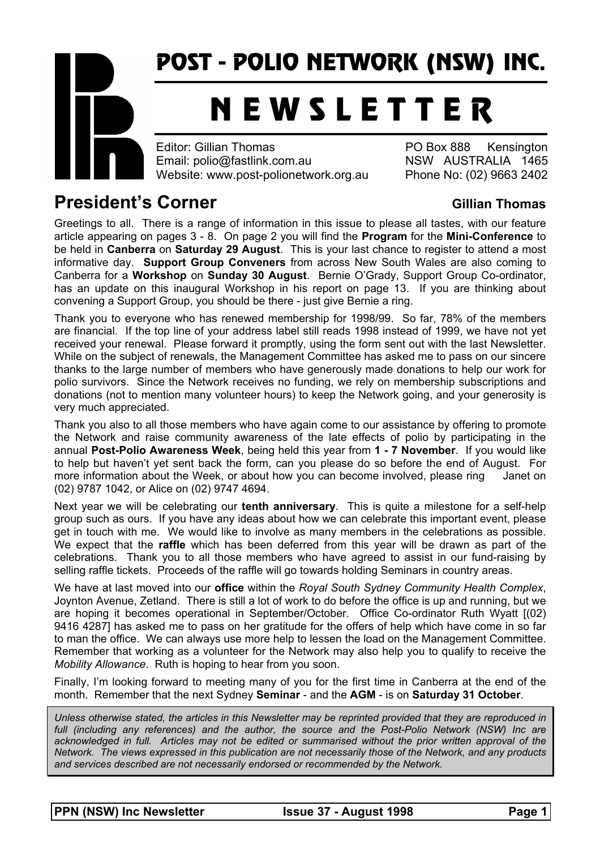# POST - POLIO NETWORK (NSW) INC.

# N E W S L E T T E R

Editor: Gillian Thomas **PO Box 888** Kensington Email: polio@fastlink.com.au NSW AUSTRALIA 1465 Website: www.post-polionetwork.org.au Phone No: (02) 9663 2402

# **President's Corner Community Construction Community Construction Community Construction Community Community Community Community Community Community Community Community Community Community Community Community Community Com**

Greetings to all. There is a range of information in this issue to please all tastes, with our feature article appearing on pages 3 - 8. On page 2 you will find the **Program** for the **Mini-Conference** to be held in **Canberra** on **Saturday 29 August**. This is your last chance to register to attend a most informative day. **Support Group Conveners** from across New South Wales are also coming to Canberra for a **Workshop** on **Sunday 30 August**. Bernie O'Grady, Support Group Co-ordinator, has an update on this inaugural Workshop in his report on page 13. If you are thinking about convening a Support Group, you should be there - just give Bernie a ring.

Thank you to everyone who has renewed membership for 1998/99. So far, 78% of the members are financial. If the top line of your address label still reads 1998 instead of 1999, we have not yet received your renewal. Please forward it promptly, using the form sent out with the last Newsletter. While on the subject of renewals, the Management Committee has asked me to pass on our sincere thanks to the large number of members who have generously made donations to help our work for polio survivors. Since the Network receives no funding, we rely on membership subscriptions and donations (not to mention many volunteer hours) to keep the Network going, and your generosity is very much appreciated.

Thank you also to all those members who have again come to our assistance by offering to promote the Network and raise community awareness of the late effects of polio by participating in the annual **Post-Polio Awareness Week**, being held this year from **1 - 7 November**. If you would like to help but haven't yet sent back the form, can you please do so before the end of August. For more information about the Week, or about how you can become involved, please ring Janet on (02) 9787 1042, or Alice on (02) 9747 4694.

Next year we will be celebrating our **tenth anniversary**. This is quite a milestone for a self-help group such as ours. If you have any ideas about how we can celebrate this important event, please get in touch with me. We would like to involve as many members in the celebrations as possible. We expect that the **raffle** which has been deferred from this year will be drawn as part of the celebrations. Thank you to all those members who have agreed to assist in our fund-raising by selling raffle tickets. Proceeds of the raffle will go towards holding Seminars in country areas.

We have at last moved into our **office** within the *Royal South Sydney Community Health Complex*, Joynton Avenue, Zetland. There is still a lot of work to do before the office is up and running, but we are hoping it becomes operational in September/October. Office Co-ordinator Ruth Wyatt [(02) 9416 4287] has asked me to pass on her gratitude for the offers of help which have come in so far to man the office. We can always use more help to lessen the load on the Management Committee. Remember that working as a volunteer for the Network may also help you to qualify to receive the *Mobility Allowance*. Ruth is hoping to hear from you soon.

Finally, I'm looking forward to meeting many of you for the first time in Canberra at the end of the month. Remember that the next Sydney **Seminar** - and the **AGM** - is on **Saturday 31 October**.

*Unless otherwise stated, the articles in this Newsletter may be reprinted provided that they are reproduced in full (including any references) and the author, the source and the Post-Polio Network (NSW) Inc are acknowledged in full. Articles may not be edited or summarised without the prior written approval of the Network. The views expressed in this publication are not necessarily those of the Network, and any products and services described are not necessarily endorsed or recommended by the Network.*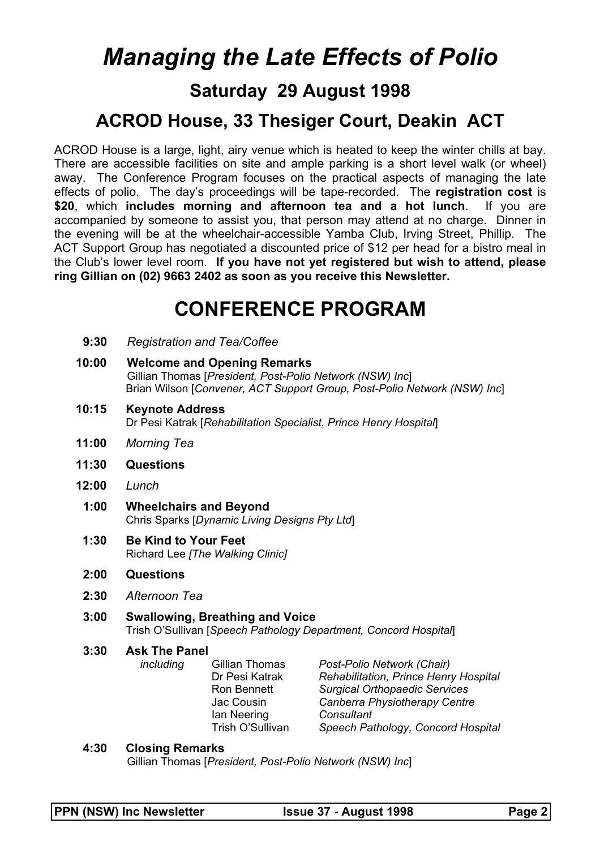# *Managing the Late Effects of Polio*

## **Saturday 29 August 1998**

# **ACROD House, 33 Thesiger Court, Deakin ACT**

ACROD House is a large, light, airy venue which is heated to keep the winter chills at bay. There are accessible facilities on site and ample parking is a short level walk (or wheel) away. The Conference Program focuses on the practical aspects of managing the late effects of polio. The day's proceedings will be tape-recorded. The **registration cost** is **\$20**, which **includes morning and afternoon tea and a hot lunch**. If you are accompanied by someone to assist you, that person may attend at no charge. Dinner in the evening will be at the wheelchair-accessible Yamba Club, Irving Street, Phillip. The ACT Support Group has negotiated a discounted price of \$12 per head for a bistro meal in the Club's lower level room. **If you have not yet registered but wish to attend, please ring Gillian on (02) 9663 2402 as soon as you receive this Newsletter.**

# **CONFERENCE PROGRAM**

- **9:30** *Registration and Tea/Coffee*
- **10:00 Welcome and Opening Remarks** Gillian Thomas [*President, Post-Polio Network (NSW) Inc*] Brian Wilson [*Convener, ACT Support Group, Post-Polio Network (NSW) Inc*]
- **10:15 Keynote Address** Dr Pesi Katrak [*Rehabilitation Specialist, Prince Henry Hospital*]
- **11:00** *Morning Tea*
- **11:30 Questions**
- **12:00** *Lunch* 
	- **1:00 Wheelchairs and Beyond** Chris Sparks [*Dynamic Living Designs Pty Ltd*]
	- **1:30 Be Kind to Your Feet** Richard Lee *[The Walking Clinic]*
	- **2:00 Questions**
	- **2:30** *Afternoon Tea*
	- **3:00 Swallowing, Breathing and Voice** Trish O'Sullivan [*Speech Pathology Department, Concord Hospital*]

#### **3:30 Ask The Panel**

 *including* Gillian Thomas *Post-Polio Network (Chair)* Dr Pesi Katrak *Rehabilitation, Prince Henry Hospital* **Surgical Orthopaedic Services**  Jac Cousin *Canberra Physiotherapy Centre* Ian Neering *Consultant* Trish O'Sullivan *Speech Pathology, Concord Hospital*

#### **4:30 Closing Remarks**

Gillian Thomas [*President, Post-Polio Network (NSW) Inc*]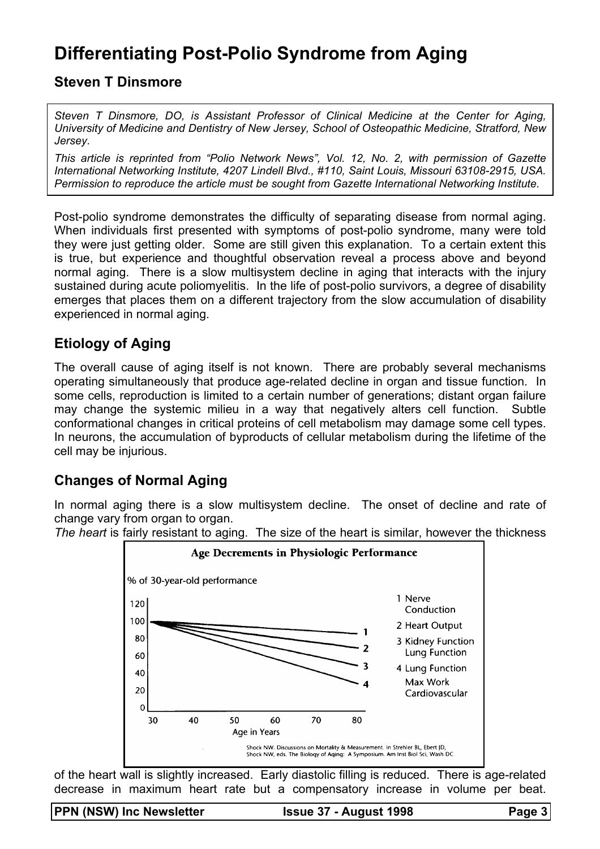# **Differentiating Post-Polio Syndrome from Aging**

**Steven T Dinsmore** 

*Steven T Dinsmore, DO, is Assistant Professor of Clinical Medicine at the Center for Aging, University of Medicine and Dentistry of New Jersey, School of Osteopathic Medicine, Stratford, New Jersey.* 

*This article is reprinted from "Polio Network News", Vol. 12, No. 2, with permission of Gazette International Networking Institute, 4207 Lindell Blvd., #110, Saint Louis, Missouri 63108-2915, USA. Permission to reproduce the article must be sought from Gazette International Networking Institute.*

Post-polio syndrome demonstrates the difficulty of separating disease from normal aging. When individuals first presented with symptoms of post-polio syndrome, many were told they were just getting older. Some are still given this explanation. To a certain extent this is true, but experience and thoughtful observation reveal a process above and beyond normal aging. There is a slow multisystem decline in aging that interacts with the injury sustained during acute poliomyelitis. In the life of post-polio survivors, a degree of disability emerges that places them on a different trajectory from the slow accumulation of disability experienced in normal aging.

## **Etiology of Aging**

The overall cause of aging itself is not known. There are probably several mechanisms operating simultaneously that produce age-related decline in organ and tissue function. In some cells, reproduction is limited to a certain number of generations; distant organ failure may change the systemic milieu in a way that negatively alters cell function. Subtle conformational changes in critical proteins of cell metabolism may damage some cell types. In neurons, the accumulation of byproducts of cellular metabolism during the lifetime of the cell may be injurious.

## **Changes of Normal Aging**

In normal aging there is a slow multisystem decline. The onset of decline and rate of change vary from organ to organ.

*The heart* is fairly resistant to aging. The size of the heart is similar, however the thickness



of the heart wall is slightly increased. Early diastolic filling is reduced. There is age-related decrease in maximum heart rate but a compensatory increase in volume per beat.

PPN (NSW) Inc Newsletter **ISSUE 37 - August 1998** Page 3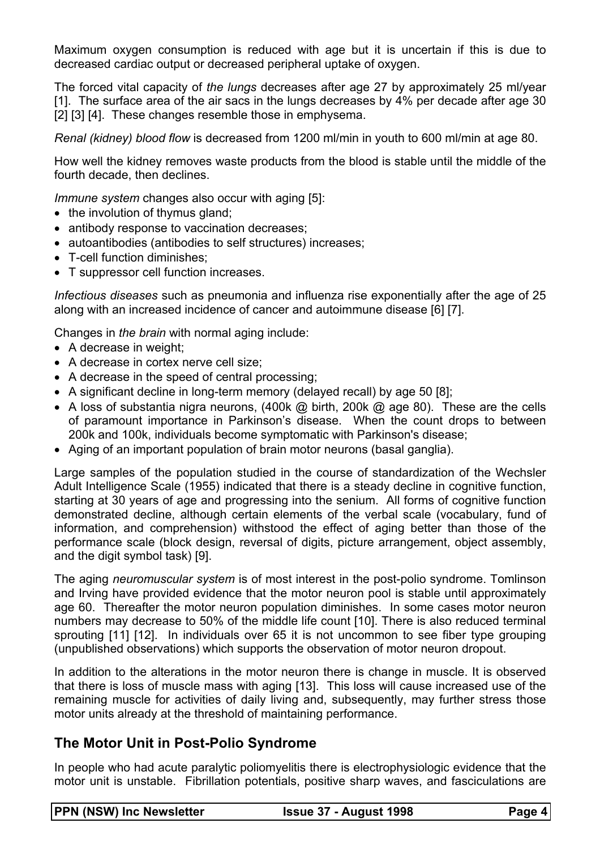Maximum oxygen consumption is reduced with age but it is uncertain if this is due to decreased cardiac output or decreased peripheral uptake of oxygen.

The forced vital capacity of *the lungs* decreases after age 27 by approximately 25 ml/year [1]. The surface area of the air sacs in the lungs decreases by 4% per decade after age 30 [2] [3] [4]. These changes resemble those in emphysema.

*Renal (kidney) blood flow* is decreased from 1200 ml/min in youth to 600 ml/min at age 80.

How well the kidney removes waste products from the blood is stable until the middle of the fourth decade, then declines.

*Immune system* changes also occur with aging [5]:

- the involution of thymus gland;
- antibody response to vaccination decreases;
- autoantibodies (antibodies to self structures) increases;
- T-cell function diminishes:
- T suppressor cell function increases.

*Infectious diseases* such as pneumonia and influenza rise exponentially after the age of 25 along with an increased incidence of cancer and autoimmune disease [6] [7].

Changes in *the brain* with normal aging include:

- A decrease in weight;
- A decrease in cortex nerve cell size;
- A decrease in the speed of central processing;
- A significant decline in long-term memory (delayed recall) by age 50 [8];
- A loss of substantia nigra neurons, (400k @ birth, 200k @ age 80). These are the cells of paramount importance in Parkinson's disease. When the count drops to between 200k and 100k, individuals become symptomatic with Parkinson's disease;
- Aging of an important population of brain motor neurons (basal ganglia).

Large samples of the population studied in the course of standardization of the Wechsler Adult Intelligence Scale (1955) indicated that there is a steady decline in cognitive function, starting at 30 years of age and progressing into the senium. All forms of cognitive function demonstrated decline, although certain elements of the verbal scale (vocabulary, fund of information, and comprehension) withstood the effect of aging better than those of the performance scale (block design, reversal of digits, picture arrangement, object assembly, and the digit symbol task) [9].

The aging *neuromuscular system* is of most interest in the post-polio syndrome. Tomlinson and Irving have provided evidence that the motor neuron pool is stable until approximately age 60. Thereafter the motor neuron population diminishes. In some cases motor neuron numbers may decrease to 50% of the middle life count [10]. There is also reduced terminal sprouting [11] [12]. In individuals over 65 it is not uncommon to see fiber type grouping (unpublished observations) which supports the observation of motor neuron dropout.

In addition to the alterations in the motor neuron there is change in muscle. It is observed that there is loss of muscle mass with aging [13]. This loss will cause increased use of the remaining muscle for activities of daily living and, subsequently, may further stress those motor units already at the threshold of maintaining performance.

#### **The Motor Unit in Post-Polio Syndrome**

In people who had acute paralytic poliomyelitis there is electrophysiologic evidence that the motor unit is unstable. Fibrillation potentials, positive sharp waves, and fasciculations are

| <b>PPN (NSW) Inc Newsletter</b> | <b>Issue 37 - August 1998</b> | Page 4 |
|---------------------------------|-------------------------------|--------|
|                                 |                               |        |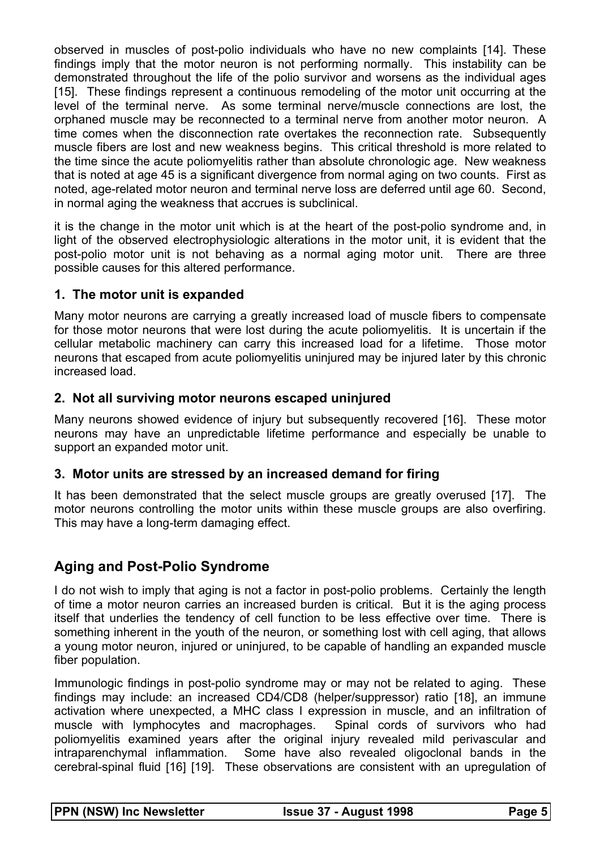observed in muscles of post-polio individuals who have no new complaints [14]. These findings imply that the motor neuron is not performing normally. This instability can be demonstrated throughout the life of the polio survivor and worsens as the individual ages [15]. These findings represent a continuous remodeling of the motor unit occurring at the level of the terminal nerve. As some terminal nerve/muscle connections are lost, the orphaned muscle may be reconnected to a terminal nerve from another motor neuron. A time comes when the disconnection rate overtakes the reconnection rate. Subsequently muscle fibers are lost and new weakness begins. This critical threshold is more related to the time since the acute poliomyelitis rather than absolute chronologic age. New weakness that is noted at age 45 is a significant divergence from normal aging on two counts. First as noted, age-related motor neuron and terminal nerve loss are deferred until age 60. Second, in normal aging the weakness that accrues is subclinical.

it is the change in the motor unit which is at the heart of the post-polio syndrome and, in light of the observed electrophysiologic alterations in the motor unit, it is evident that the post-polio motor unit is not behaving as a normal aging motor unit. There are three possible causes for this altered performance.

#### **1. The motor unit is expanded**

Many motor neurons are carrying a greatly increased load of muscle fibers to compensate for those motor neurons that were lost during the acute poliomyelitis. It is uncertain if the cellular metabolic machinery can carry this increased load for a lifetime. Those motor neurons that escaped from acute poliomyelitis uninjured may be injured later by this chronic increased load.

#### **2. Not all surviving motor neurons escaped uninjured**

Many neurons showed evidence of injury but subsequently recovered [16]. These motor neurons may have an unpredictable lifetime performance and especially be unable to support an expanded motor unit.

#### **3. Motor units are stressed by an increased demand for firing**

It has been demonstrated that the select muscle groups are greatly overused [17]. The motor neurons controlling the motor units within these muscle groups are also overfiring. This may have a long-term damaging effect.

### **Aging and Post-Polio Syndrome**

I do not wish to imply that aging is not a factor in post-polio problems. Certainly the length of time a motor neuron carries an increased burden is critical. But it is the aging process itself that underlies the tendency of cell function to be less effective over time. There is something inherent in the youth of the neuron, or something lost with cell aging, that allows a young motor neuron, injured or uninjured, to be capable of handling an expanded muscle fiber population.

Immunologic findings in post-polio syndrome may or may not be related to aging. These findings may include: an increased CD4/CD8 (helper/suppressor) ratio [18], an immune activation where unexpected, a MHC class I expression in muscle, and an infiltration of muscle with lymphocytes and macrophages. Spinal cords of survivors who had poliomyelitis examined years after the original injury revealed mild perivascular and intraparenchymal inflammation. Some have also revealed oligoclonal bands in the cerebral-spinal fluid [16] [19]. These observations are consistent with an upregulation of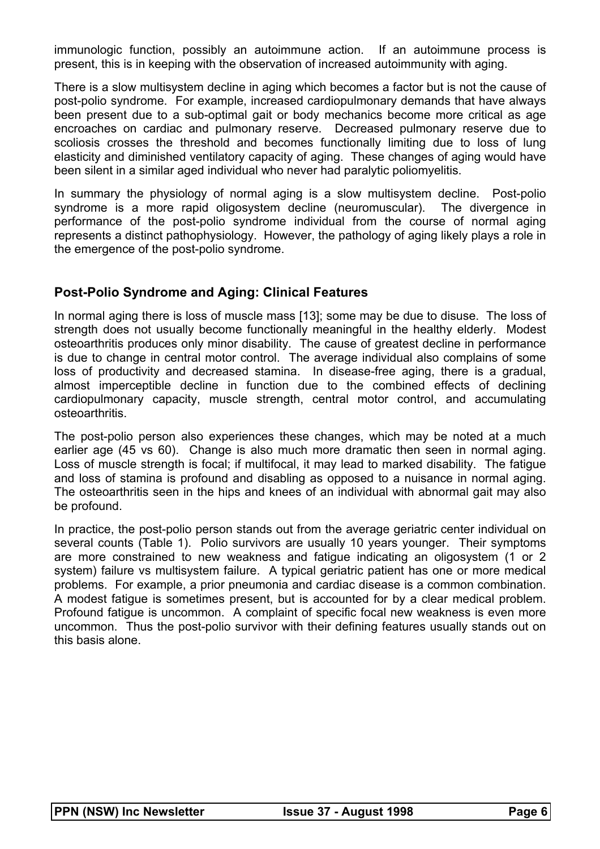immunologic function, possibly an autoimmune action. If an autoimmune process is present, this is in keeping with the observation of increased autoimmunity with aging.

There is a slow multisystem decline in aging which becomes a factor but is not the cause of post-polio syndrome. For example, increased cardiopulmonary demands that have always been present due to a sub-optimal gait or body mechanics become more critical as age encroaches on cardiac and pulmonary reserve. Decreased pulmonary reserve due to scoliosis crosses the threshold and becomes functionally limiting due to loss of lung elasticity and diminished ventilatory capacity of aging. These changes of aging would have been silent in a similar aged individual who never had paralytic poliomyelitis.

In summary the physiology of normal aging is a slow multisystem decline. Post-polio syndrome is a more rapid oligosystem decline (neuromuscular). The divergence in performance of the post-polio syndrome individual from the course of normal aging represents a distinct pathophysiology. However, the pathology of aging likely plays a role in the emergence of the post-polio syndrome.

#### **Post-Polio Syndrome and Aging: Clinical Features**

In normal aging there is loss of muscle mass [13]; some may be due to disuse. The loss of strength does not usually become functionally meaningful in the healthy elderly. Modest osteoarthritis produces only minor disability. The cause of greatest decline in performance is due to change in central motor control. The average individual also complains of some loss of productivity and decreased stamina. In disease-free aging, there is a gradual, almost imperceptible decline in function due to the combined effects of declining cardiopulmonary capacity, muscle strength, central motor control, and accumulating osteoarthritis.

The post-polio person also experiences these changes, which may be noted at a much earlier age (45 vs 60). Change is also much more dramatic then seen in normal aging. Loss of muscle strength is focal; if multifocal, it may lead to marked disability. The fatigue and loss of stamina is profound and disabling as opposed to a nuisance in normal aging. The osteoarthritis seen in the hips and knees of an individual with abnormal gait may also be profound.

In practice, the post-polio person stands out from the average geriatric center individual on several counts (Table 1). Polio survivors are usually 10 years younger. Their symptoms are more constrained to new weakness and fatigue indicating an oligosystem (1 or 2 system) failure vs multisystem failure. A typical geriatric patient has one or more medical problems. For example, a prior pneumonia and cardiac disease is a common combination. A modest fatigue is sometimes present, but is accounted for by a clear medical problem. Profound fatigue is uncommon. A complaint of specific focal new weakness is even more uncommon. Thus the post-polio survivor with their defining features usually stands out on this basis alone.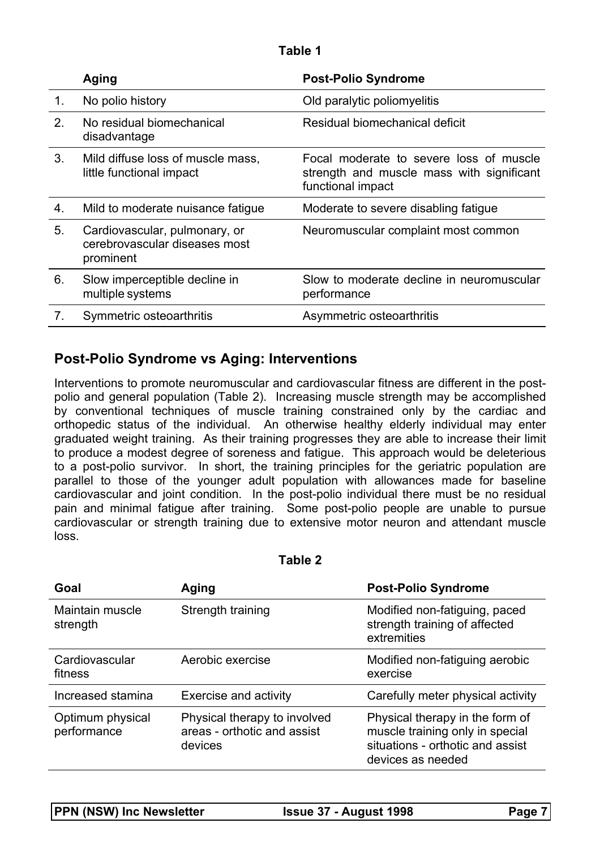#### **Table 1**

|    | Aging                                                                       | <b>Post-Polio Syndrome</b>                                                                                |
|----|-----------------------------------------------------------------------------|-----------------------------------------------------------------------------------------------------------|
| 1. | No polio history                                                            | Old paralytic poliomyelitis                                                                               |
| 2. | No residual biomechanical<br>disadvantage                                   | Residual biomechanical deficit                                                                            |
| 3. | Mild diffuse loss of muscle mass,<br>little functional impact               | Focal moderate to severe loss of muscle<br>strength and muscle mass with significant<br>functional impact |
| 4. | Mild to moderate nuisance fatigue                                           | Moderate to severe disabling fatigue                                                                      |
| 5. | Cardiovascular, pulmonary, or<br>cerebrovascular diseases most<br>prominent | Neuromuscular complaint most common                                                                       |
| 6. | Slow imperceptible decline in<br>multiple systems                           | Slow to moderate decline in neuromuscular<br>performance                                                  |
| 7. | Symmetric osteoarthritis                                                    | Asymmetric osteoarthritis                                                                                 |

### **Post-Polio Syndrome vs Aging: Interventions**

Interventions to promote neuromuscular and cardiovascular fitness are different in the postpolio and general population (Table 2). Increasing muscle strength may be accomplished by conventional techniques of muscle training constrained only by the cardiac and orthopedic status of the individual. An otherwise healthy elderly individual may enter graduated weight training. As their training progresses they are able to increase their limit to produce a modest degree of soreness and fatigue. This approach would be deleterious to a post-polio survivor. In short, the training principles for the geriatric population are parallel to those of the younger adult population with allowances made for baseline cardiovascular and joint condition. In the post-polio individual there must be no residual pain and minimal fatigue after training. Some post-polio people are unable to pursue cardiovascular or strength training due to extensive motor neuron and attendant muscle loss.

| וסו<br>I<br>$\overline{\phantom{a}}$ |  |
|--------------------------------------|--|
|--------------------------------------|--|

| Goal                            | Aging                                                                  | <b>Post-Polio Syndrome</b>                                                                                                  |
|---------------------------------|------------------------------------------------------------------------|-----------------------------------------------------------------------------------------------------------------------------|
| Maintain muscle<br>strength     | Strength training                                                      | Modified non-fatiguing, paced<br>strength training of affected<br>extremities                                               |
| Cardiovascular<br>fitness       | Aerobic exercise                                                       | Modified non-fatiguing aerobic<br>exercise                                                                                  |
| Increased stamina               | <b>Exercise and activity</b>                                           | Carefully meter physical activity                                                                                           |
| Optimum physical<br>performance | Physical therapy to involved<br>areas - orthotic and assist<br>devices | Physical therapy in the form of<br>muscle training only in special<br>situations - orthotic and assist<br>devices as needed |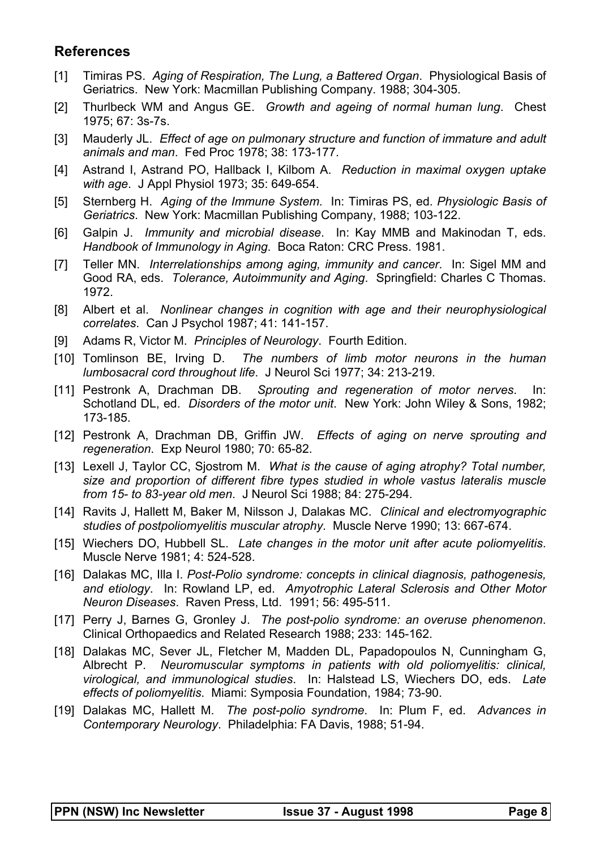### **References**

- [1] Timiras PS. *Aging of Respiration, The Lung, a Battered Organ*. Physiological Basis of Geriatrics. New York: Macmillan Publishing Company. 1988; 304-305.
- [2] Thurlbeck WM and Angus GE. *Growth and ageing of normal human lung*. Chest 1975; 67: 3s-7s.
- [3] Mauderly JL. *Effect of age on pulmonary structure and function of immature and adult animals and man*. Fed Proc 1978; 38: 173-177.
- [4] Astrand I, Astrand PO, Hallback I, Kilbom A. *Reduction in maximal oxygen uptake with age*. J Appl Physiol 1973; 35: 649-654.
- [5] Sternberg H. *Aging of the Immune System*. In: Timiras PS, ed. *Physiologic Basis of Geriatrics*. New York: Macmillan Publishing Company, 1988; 103-122.
- [6] Galpin J. *Immunity and microbial disease*. In: Kay MMB and Makinodan T, eds. *Handbook of Immunology in Aging*. Boca Raton: CRC Press. 1981.
- [7] Teller MN. *Interrelationships among aging, immunity and cancer*. In: Sigel MM and Good RA, eds. *Tolerance, Autoimmunity and Aging*. Springfield: Charles C Thomas. 1972.
- [8] Albert et al. *Nonlinear changes in cognition with age and their neurophysiological correlates*. Can J Psychol 1987; 41: 141-157.
- [9] Adams R, Victor M. *Principles of Neurology*. Fourth Edition.
- [10] Tomlinson BE, Irving D. *The numbers of limb motor neurons in the human lumbosacral cord throughout life*. J Neurol Sci 1977; 34: 213-219.
- [11] Pestronk A, Drachman DB. *Sprouting and regeneration of motor nerves*. In: Schotland DL, ed. *Disorders of the motor unit*. New York: John Wiley & Sons, 1982; 173-185.
- [12] Pestronk A, Drachman DB, Griffin JW. *Effects of aging on nerve sprouting and regeneration*. Exp Neurol 1980; 70: 65-82.
- [13] Lexell J, Taylor CC, Sjostrom M. *What is the cause of aging atrophy? Total number, size and proportion of different fibre types studied in whole vastus lateralis muscle from 15- to 83-year old men*. J Neurol Sci 1988; 84: 275-294.
- [14] Ravits J, Hallett M, Baker M, Nilsson J, Dalakas MC. *Clinical and electromyographic studies of postpoliomyelitis muscular atrophy*. Muscle Nerve 1990; 13: 667-674.
- [15] Wiechers DO, Hubbell SL. *Late changes in the motor unit after acute poliomyelitis*. Muscle Nerve 1981; 4: 524-528.
- [16] Dalakas MC, Illa I. *Post-Polio syndrome: concepts in clinical diagnosis, pathogenesis, and etiology*. In: Rowland LP, ed. *Amyotrophic Lateral Sclerosis and Other Motor Neuron Diseases*. Raven Press, Ltd. 1991; 56: 495-511.
- [17] Perry J, Barnes G, Gronley J. *The post-polio syndrome: an overuse phenomenon*. Clinical Orthopaedics and Related Research 1988; 233: 145-162.
- [18] Dalakas MC, Sever JL, Fletcher M, Madden DL, Papadopoulos N, Cunningham G, Albrecht P. *Neuromuscular symptoms in patients with old poliomyelitis: clinical, virological, and immunological studies*. In: Halstead LS, Wiechers DO, eds. *Late effects of poliomyelitis*. Miami: Symposia Foundation, 1984; 73-90.
- [19] Dalakas MC, Hallett M. *The post-polio syndrome*. In: Plum F, ed. *Advances in Contemporary Neurology*. Philadelphia: FA Davis, 1988; 51-94.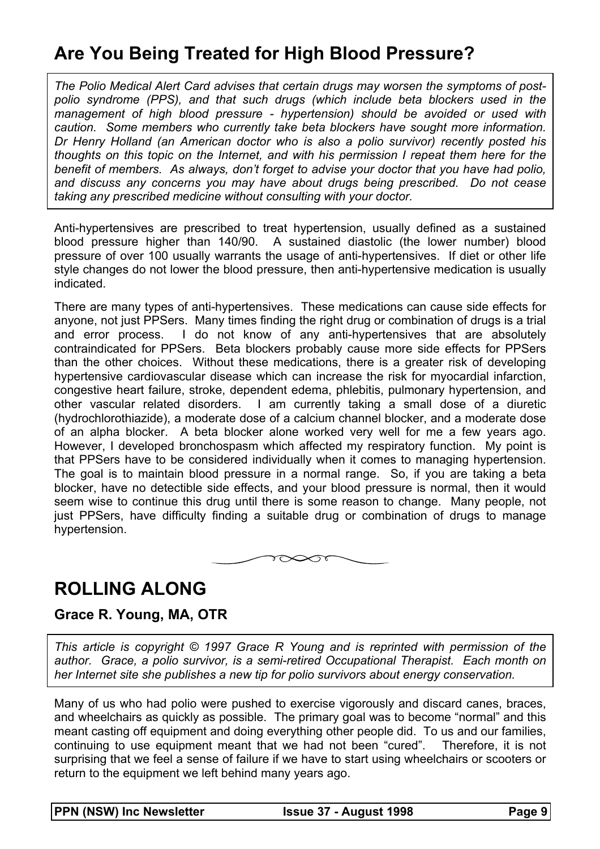# **Are You Being Treated for High Blood Pressure?**

*The Polio Medical Alert Card advises that certain drugs may worsen the symptoms of postpolio syndrome (PPS), and that such drugs (which include beta blockers used in the management of high blood pressure - hypertension) should be avoided or used with caution. Some members who currently take beta blockers have sought more information. Dr Henry Holland (an American doctor who is also a polio survivor) recently posted his thoughts on this topic on the Internet, and with his permission I repeat them here for the benefit of members. As always, don't forget to advise your doctor that you have had polio, and discuss any concerns you may have about drugs being prescribed. Do not cease taking any prescribed medicine without consulting with your doctor.* 

Anti-hypertensives are prescribed to treat hypertension, usually defined as a sustained blood pressure higher than 140/90. A sustained diastolic (the lower number) blood pressure of over 100 usually warrants the usage of anti-hypertensives. If diet or other life style changes do not lower the blood pressure, then anti-hypertensive medication is usually indicated.

There are many types of anti-hypertensives. These medications can cause side effects for anyone, not just PPSers. Many times finding the right drug or combination of drugs is a trial and error process. I do not know of any anti-hypertensives that are absolutely contraindicated for PPSers. Beta blockers probably cause more side effects for PPSers than the other choices. Without these medications, there is a greater risk of developing hypertensive cardiovascular disease which can increase the risk for myocardial infarction, congestive heart failure, stroke, dependent edema, phlebitis, pulmonary hypertension, and other vascular related disorders. I am currently taking a small dose of a diuretic (hydrochlorothiazide), a moderate dose of a calcium channel blocker, and a moderate dose of an alpha blocker. A beta blocker alone worked very well for me a few years ago. However, I developed bronchospasm which affected my respiratory function. My point is that PPSers have to be considered individually when it comes to managing hypertension. The goal is to maintain blood pressure in a normal range. So, if you are taking a beta blocker, have no detectible side effects, and your blood pressure is normal, then it would seem wise to continue this drug until there is some reason to change. Many people, not just PPSers, have difficulty finding a suitable drug or combination of drugs to manage hypertension.



## **ROLLING ALONG**

#### **Grace R. Young, MA, OTR**

*This article is copyright © 1997 Grace R Young and is reprinted with permission of the author. Grace, a polio survivor, is a semi-retired Occupational Therapist. Each month on her Internet site she publishes a new tip for polio survivors about energy conservation.* 

Many of us who had polio were pushed to exercise vigorously and discard canes, braces, and wheelchairs as quickly as possible. The primary goal was to become "normal" and this meant casting off equipment and doing everything other people did. To us and our families, continuing to use equipment meant that we had not been "cured". Therefore, it is not surprising that we feel a sense of failure if we have to start using wheelchairs or scooters or return to the equipment we left behind many years ago.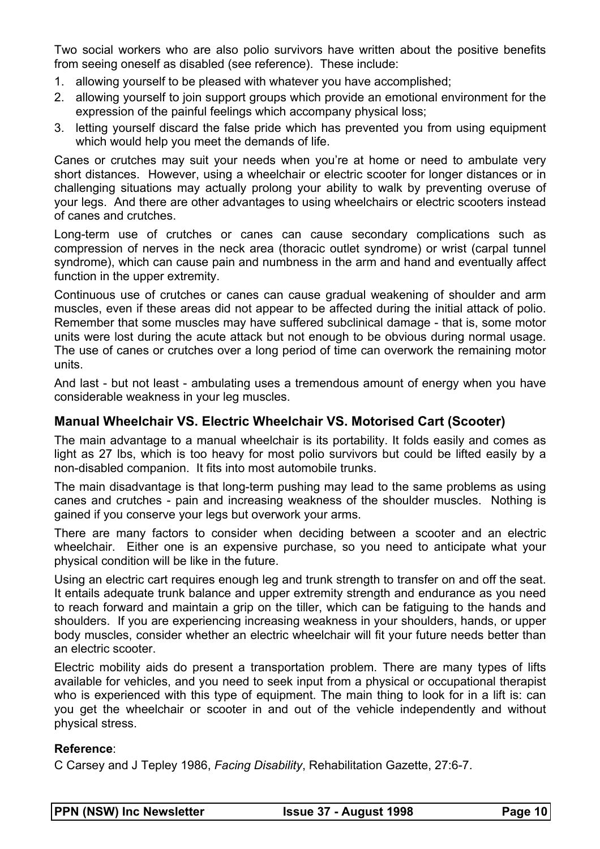Two social workers who are also polio survivors have written about the positive benefits from seeing oneself as disabled (see reference). These include:

- 1. allowing yourself to be pleased with whatever you have accomplished;
- 2. allowing yourself to join support groups which provide an emotional environment for the expression of the painful feelings which accompany physical loss;
- 3. letting yourself discard the false pride which has prevented you from using equipment which would help you meet the demands of life.

Canes or crutches may suit your needs when you're at home or need to ambulate very short distances. However, using a wheelchair or electric scooter for longer distances or in challenging situations may actually prolong your ability to walk by preventing overuse of your legs. And there are other advantages to using wheelchairs or electric scooters instead of canes and crutches.

Long-term use of crutches or canes can cause secondary complications such as compression of nerves in the neck area (thoracic outlet syndrome) or wrist (carpal tunnel syndrome), which can cause pain and numbness in the arm and hand and eventually affect function in the upper extremity.

Continuous use of crutches or canes can cause gradual weakening of shoulder and arm muscles, even if these areas did not appear to be affected during the initial attack of polio. Remember that some muscles may have suffered subclinical damage - that is, some motor units were lost during the acute attack but not enough to be obvious during normal usage. The use of canes or crutches over a long period of time can overwork the remaining motor units.

And last - but not least - ambulating uses a tremendous amount of energy when you have considerable weakness in your leg muscles.

#### **Manual Wheelchair VS. Electric Wheelchair VS. Motorised Cart (Scooter)**

The main advantage to a manual wheelchair is its portability. It folds easily and comes as light as 27 lbs, which is too heavy for most polio survivors but could be lifted easily by a non-disabled companion. It fits into most automobile trunks.

The main disadvantage is that long-term pushing may lead to the same problems as using canes and crutches - pain and increasing weakness of the shoulder muscles. Nothing is gained if you conserve your legs but overwork your arms.

There are many factors to consider when deciding between a scooter and an electric wheelchair. Either one is an expensive purchase, so you need to anticipate what your physical condition will be like in the future.

Using an electric cart requires enough leg and trunk strength to transfer on and off the seat. It entails adequate trunk balance and upper extremity strength and endurance as you need to reach forward and maintain a grip on the tiller, which can be fatiguing to the hands and shoulders. If you are experiencing increasing weakness in your shoulders, hands, or upper body muscles, consider whether an electric wheelchair will fit your future needs better than an electric scooter.

Electric mobility aids do present a transportation problem. There are many types of lifts available for vehicles, and you need to seek input from a physical or occupational therapist who is experienced with this type of equipment. The main thing to look for in a lift is: can you get the wheelchair or scooter in and out of the vehicle independently and without physical stress.

#### **Reference**:

C Carsey and J Tepley 1986, *Facing Disability*, Rehabilitation Gazette, 27:6-7.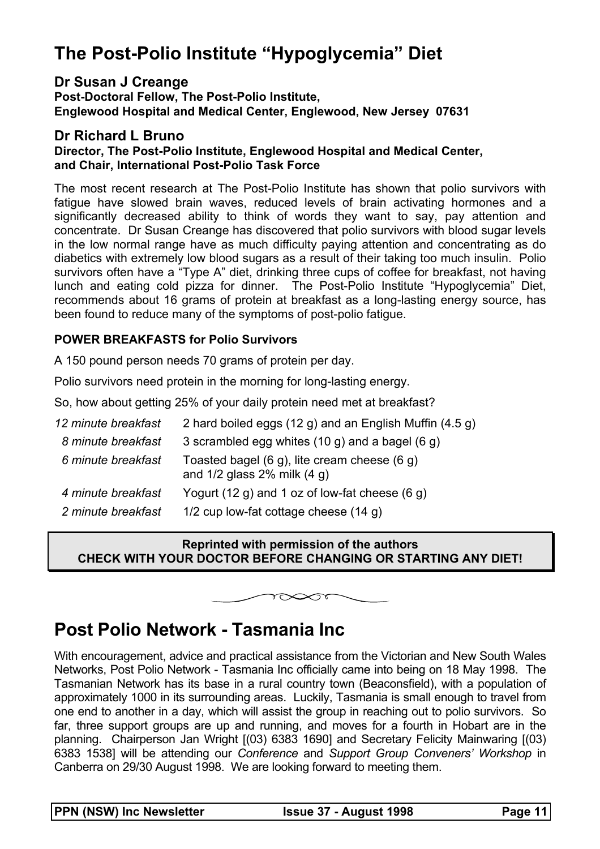# **The Post-Polio Institute "Hypoglycemia" Diet**

#### **Dr Susan J Creange**

**Post-Doctoral Fellow, The Post-Polio Institute, Englewood Hospital and Medical Center, Englewood, New Jersey 07631** 

#### **Dr Richard L Bruno**

#### **Director, The Post-Polio Institute, Englewood Hospital and Medical Center, and Chair, International Post-Polio Task Force**

The most recent research at The Post-Polio Institute has shown that polio survivors with fatigue have slowed brain waves, reduced levels of brain activating hormones and a significantly decreased ability to think of words they want to say, pay attention and concentrate. Dr Susan Creange has discovered that polio survivors with blood sugar levels in the low normal range have as much difficulty paying attention and concentrating as do diabetics with extremely low blood sugars as a result of their taking too much insulin. Polio survivors often have a "Type A" diet, drinking three cups of coffee for breakfast, not having lunch and eating cold pizza for dinner. The Post-Polio Institute "Hypoglycemia" Diet, recommends about 16 grams of protein at breakfast as a long-lasting energy source, has been found to reduce many of the symptoms of post-polio fatigue.

#### **POWER BREAKFASTS for Polio Survivors**

A 150 pound person needs 70 grams of protein per day.

Polio survivors need protein in the morning for long-lasting energy.

So, how about getting 25% of your daily protein need met at breakfast?

| 2 hard boiled eggs (12 g) and an English Muffin (4.5 g)                              |
|--------------------------------------------------------------------------------------|
| 3 scrambled egg whites (10 g) and a bagel (6 g)                                      |
| Toasted bagel $(6 g)$ , lite cream cheese $(6 g)$<br>and $1/2$ glass 2% milk $(4 g)$ |
| Yogurt (12 g) and 1 oz of low-fat cheese (6 g)                                       |
| 1/2 cup low-fat cottage cheese $(14 g)$                                              |
|                                                                                      |

#### **Reprinted with permission of the authors CHECK WITH YOUR DOCTOR BEFORE CHANGING OR STARTING ANY DIET!**

 $\infty$ Tr

## **Post Polio Network - Tasmania Inc**

With encouragement, advice and practical assistance from the Victorian and New South Wales Networks, Post Polio Network - Tasmania Inc officially came into being on 18 May 1998. The Tasmanian Network has its base in a rural country town (Beaconsfield), with a population of approximately 1000 in its surrounding areas. Luckily, Tasmania is small enough to travel from one end to another in a day, which will assist the group in reaching out to polio survivors. So far, three support groups are up and running, and moves for a fourth in Hobart are in the planning. Chairperson Jan Wright [(03) 6383 1690] and Secretary Felicity Mainwaring [(03) 6383 1538] will be attending our *Conference* and *Support Group Conveners' Workshop* in Canberra on 29/30 August 1998. We are looking forward to meeting them.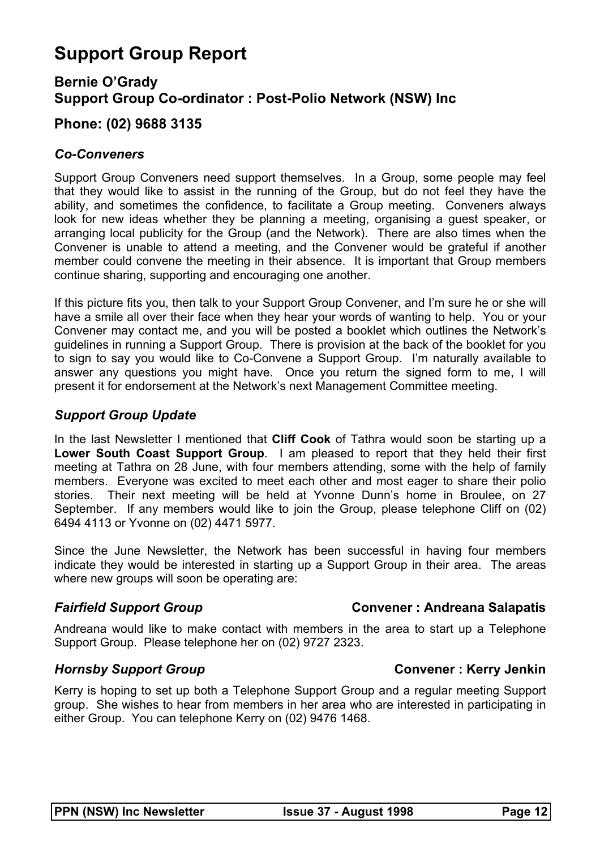# **Support Group Report**

### **Bernie O'Grady Support Group Co-ordinator : Post-Polio Network (NSW) Inc**

### **Phone: (02) 9688 3135**

#### *Co-Conveners*

Support Group Conveners need support themselves. In a Group, some people may feel that they would like to assist in the running of the Group, but do not feel they have the ability, and sometimes the confidence, to facilitate a Group meeting. Conveners always look for new ideas whether they be planning a meeting, organising a guest speaker, or arranging local publicity for the Group (and the Network). There are also times when the Convener is unable to attend a meeting, and the Convener would be grateful if another member could convene the meeting in their absence. It is important that Group members continue sharing, supporting and encouraging one another.

If this picture fits you, then talk to your Support Group Convener, and I'm sure he or she will have a smile all over their face when they hear your words of wanting to help. You or your Convener may contact me, and you will be posted a booklet which outlines the Network's guidelines in running a Support Group. There is provision at the back of the booklet for you to sign to say you would like to Co-Convene a Support Group. I'm naturally available to answer any questions you might have. Once you return the signed form to me, I will present it for endorsement at the Network's next Management Committee meeting.

#### *Support Group Update*

In the last Newsletter I mentioned that **Cliff Cook** of Tathra would soon be starting up a **Lower South Coast Support Group**. I am pleased to report that they held their first meeting at Tathra on 28 June, with four members attending, some with the help of family members. Everyone was excited to meet each other and most eager to share their polio stories. Their next meeting will be held at Yvonne Dunn's home in Broulee, on 27 September. If any members would like to join the Group, please telephone Cliff on (02) 6494 4113 or Yvonne on (02) 4471 5977.

Since the June Newsletter, the Network has been successful in having four members indicate they would be interested in starting up a Support Group in their area. The areas where new groups will soon be operating are:

#### **Fairfield Support Group Convener : Andreana Salapatis**

Andreana would like to make contact with members in the area to start up a Telephone Support Group. Please telephone her on (02) 9727 2323.

#### *Hornsby Support Group* **Convener : Kerry Jenkin**

Kerry is hoping to set up both a Telephone Support Group and a regular meeting Support group. She wishes to hear from members in her area who are interested in participating in either Group. You can telephone Kerry on (02) 9476 1468.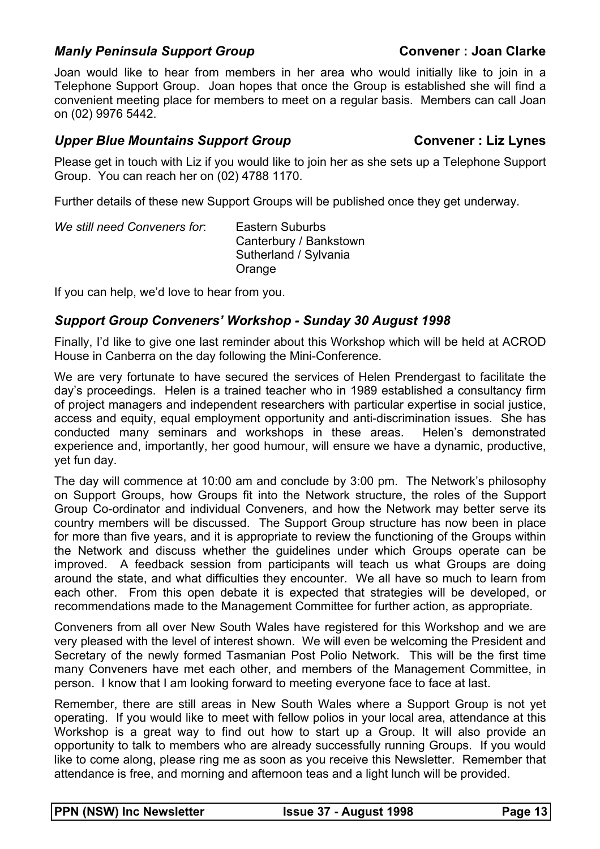#### *Manly Peninsula Support Group* **Convener : Joan Clarke**

Joan would like to hear from members in her area who would initially like to join in a Telephone Support Group. Joan hopes that once the Group is established she will find a convenient meeting place for members to meet on a regular basis. Members can call Joan on (02) 9976 5442.

#### *Upper Blue Mountains Support Group* **Convener** : Liz Lynes

Please get in touch with Liz if you would like to join her as she sets up a Telephone Support Group. You can reach her on (02) 4788 1170.

Further details of these new Support Groups will be published once they get underway.

| We still need Conveners for: | Eastern Suburbs<br>Canterbury / Bankstown |
|------------------------------|-------------------------------------------|
|                              |                                           |
|                              | Sutherland / Sylvania                     |
|                              | Orange                                    |

If you can help, we'd love to hear from you.

#### *Support Group Conveners' Workshop - Sunday 30 August 1998*

Finally, I'd like to give one last reminder about this Workshop which will be held at ACROD House in Canberra on the day following the Mini-Conference.

We are very fortunate to have secured the services of Helen Prendergast to facilitate the day's proceedings. Helen is a trained teacher who in 1989 established a consultancy firm of project managers and independent researchers with particular expertise in social justice, access and equity, equal employment opportunity and anti-discrimination issues. She has conducted many seminars and workshops in these areas. Helen's demonstrated experience and, importantly, her good humour, will ensure we have a dynamic, productive, yet fun day.

The day will commence at 10:00 am and conclude by 3:00 pm. The Network's philosophy on Support Groups, how Groups fit into the Network structure, the roles of the Support Group Co-ordinator and individual Conveners, and how the Network may better serve its country members will be discussed. The Support Group structure has now been in place for more than five years, and it is appropriate to review the functioning of the Groups within the Network and discuss whether the guidelines under which Groups operate can be improved. A feedback session from participants will teach us what Groups are doing around the state, and what difficulties they encounter. We all have so much to learn from each other. From this open debate it is expected that strategies will be developed, or recommendations made to the Management Committee for further action, as appropriate.

Conveners from all over New South Wales have registered for this Workshop and we are very pleased with the level of interest shown. We will even be welcoming the President and Secretary of the newly formed Tasmanian Post Polio Network. This will be the first time many Conveners have met each other, and members of the Management Committee, in person. I know that I am looking forward to meeting everyone face to face at last.

Remember, there are still areas in New South Wales where a Support Group is not yet operating. If you would like to meet with fellow polios in your local area, attendance at this Workshop is a great way to find out how to start up a Group. It will also provide an opportunity to talk to members who are already successfully running Groups. If you would like to come along, please ring me as soon as you receive this Newsletter. Remember that attendance is free, and morning and afternoon teas and a light lunch will be provided.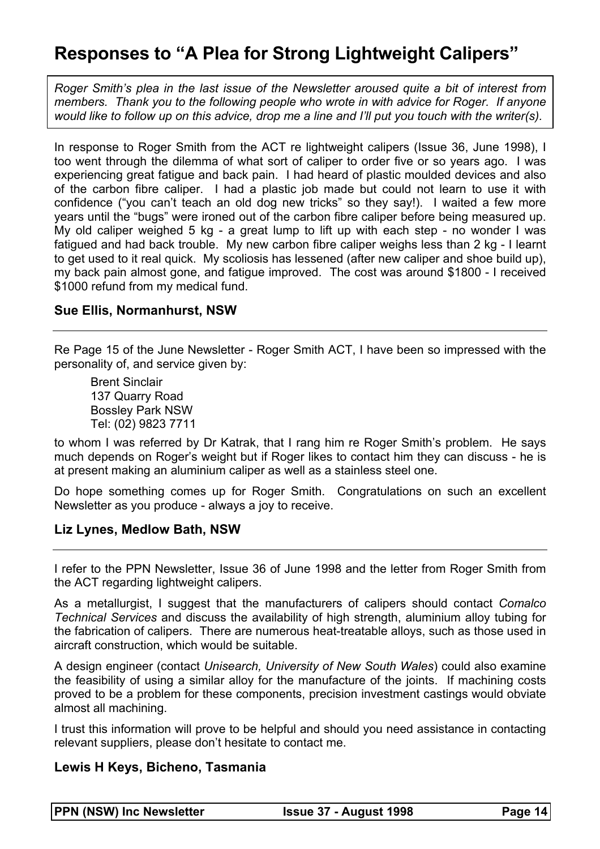# **Responses to "A Plea for Strong Lightweight Calipers"**

*Roger Smith's plea in the last issue of the Newsletter aroused quite a bit of interest from members. Thank you to the following people who wrote in with advice for Roger. If anyone would like to follow up on this advice, drop me a line and I'll put you touch with the writer(s).* 

In response to Roger Smith from the ACT re lightweight calipers (Issue 36, June 1998), I too went through the dilemma of what sort of caliper to order five or so years ago. I was experiencing great fatigue and back pain. I had heard of plastic moulded devices and also of the carbon fibre caliper. I had a plastic job made but could not learn to use it with confidence ("you can't teach an old dog new tricks" so they say!). I waited a few more years until the "bugs" were ironed out of the carbon fibre caliper before being measured up. My old caliper weighed 5 kg - a great lump to lift up with each step - no wonder I was fatigued and had back trouble. My new carbon fibre caliper weighs less than 2 kg - I learnt to get used to it real quick. My scoliosis has lessened (after new caliper and shoe build up), my back pain almost gone, and fatigue improved. The cost was around \$1800 - I received \$1000 refund from my medical fund.

#### **Sue Ellis, Normanhurst, NSW**

Re Page 15 of the June Newsletter - Roger Smith ACT, I have been so impressed with the personality of, and service given by:

 Brent Sinclair 137 Quarry Road Bossley Park NSW Tel: (02) 9823 7711

to whom I was referred by Dr Katrak, that I rang him re Roger Smith's problem. He says much depends on Roger's weight but if Roger likes to contact him they can discuss - he is at present making an aluminium caliper as well as a stainless steel one.

Do hope something comes up for Roger Smith. Congratulations on such an excellent Newsletter as you produce - always a joy to receive.

#### **Liz Lynes, Medlow Bath, NSW**

I refer to the PPN Newsletter, Issue 36 of June 1998 and the letter from Roger Smith from the ACT regarding lightweight calipers.

As a metallurgist, I suggest that the manufacturers of calipers should contact *Comalco Technical Services* and discuss the availability of high strength, aluminium alloy tubing for the fabrication of calipers. There are numerous heat-treatable alloys, such as those used in aircraft construction, which would be suitable.

A design engineer (contact *Unisearch, University of New South Wales*) could also examine the feasibility of using a similar alloy for the manufacture of the joints. If machining costs proved to be a problem for these components, precision investment castings would obviate almost all machining.

I trust this information will prove to be helpful and should you need assistance in contacting relevant suppliers, please don't hesitate to contact me.

#### **Lewis H Keys, Bicheno, Tasmania**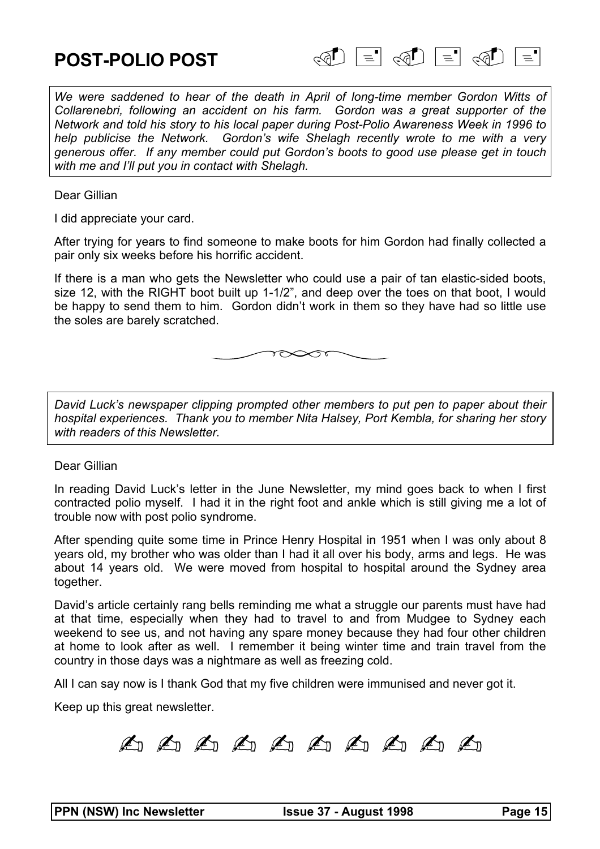

We were saddened to hear of the death in April of long-time member Gordon Witts of *Collarenebri, following an accident on his farm. Gordon was a great supporter of the Network and told his story to his local paper during Post-Polio Awareness Week in 1996 to help publicise the Network. Gordon's wife Shelagh recently wrote to me with a very generous offer. If any member could put Gordon's boots to good use please get in touch with me and I'll put you in contact with Shelagh.* 

Dear Gillian

I did appreciate your card.

After trying for years to find someone to make boots for him Gordon had finally collected a pair only six weeks before his horrific accident.

If there is a man who gets the Newsletter who could use a pair of tan elastic-sided boots, size 12, with the RIGHT boot built up 1-1/2", and deep over the toes on that boot, I would be happy to send them to him. Gordon didn't work in them so they have had so little use the soles are barely scratched.



*David Luck's newspaper clipping prompted other members to put pen to paper about their hospital experiences. Thank you to member Nita Halsey, Port Kembla, for sharing her story with readers of this Newsletter.* 

Dear Gillian

In reading David Luck's letter in the June Newsletter, my mind goes back to when I first contracted polio myself. I had it in the right foot and ankle which is still giving me a lot of trouble now with post polio syndrome.

After spending quite some time in Prince Henry Hospital in 1951 when I was only about 8 years old, my brother who was older than I had it all over his body, arms and legs. He was about 14 years old. We were moved from hospital to hospital around the Sydney area together.

David's article certainly rang bells reminding me what a struggle our parents must have had at that time, especially when they had to travel to and from Mudgee to Sydney each weekend to see us, and not having any spare money because they had four other children at home to look after as well. I remember it being winter time and train travel from the country in those days was a nightmare as well as freezing cold.

All I can say now is I thank God that my five children were immunised and never got it.

Keep up this great newsletter.

A A A A A A A A